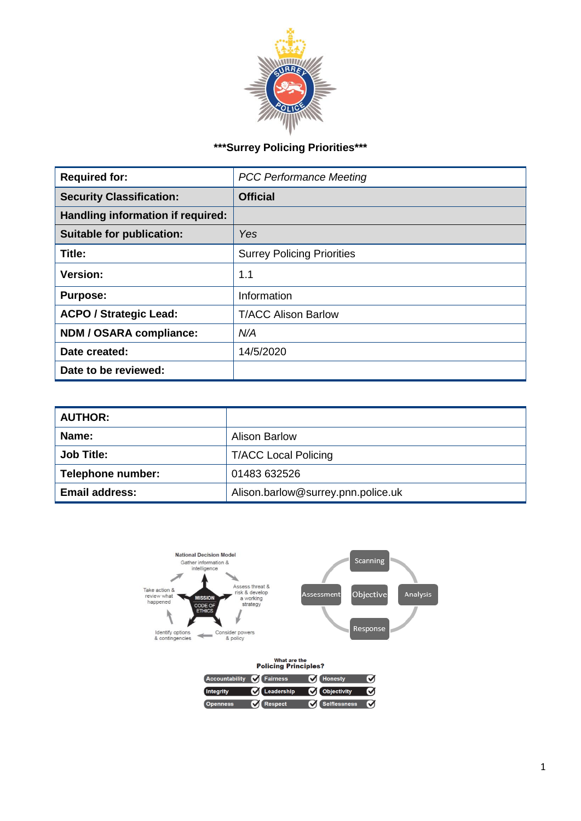

# **\*\*\*Surrey Policing Priorities\*\*\***

| <b>Required for:</b>              | <b>PCC Performance Meeting</b>    |  |  |
|-----------------------------------|-----------------------------------|--|--|
| <b>Security Classification:</b>   | <b>Official</b>                   |  |  |
| Handling information if required: |                                   |  |  |
| <b>Suitable for publication:</b>  | Yes                               |  |  |
| Title:                            | <b>Surrey Policing Priorities</b> |  |  |
| <b>Version:</b>                   | 1.1                               |  |  |
| <b>Purpose:</b>                   | Information                       |  |  |
| <b>ACPO / Strategic Lead:</b>     | <b>T/ACC Alison Barlow</b>        |  |  |
| NDM / OSARA compliance:           | N/A                               |  |  |
| Date created:                     | 14/5/2020                         |  |  |
| Date to be reviewed:              |                                   |  |  |

| <b>AUTHOR:</b>        |                                    |  |  |
|-----------------------|------------------------------------|--|--|
| Name:                 | <b>Alison Barlow</b>               |  |  |
| <b>Job Title:</b>     | <b>T/ACC Local Policing</b>        |  |  |
| Telephone number:     | 01483 632526                       |  |  |
| <b>Email address:</b> | Alison.barlow@surrey.pnn.police.uk |  |  |

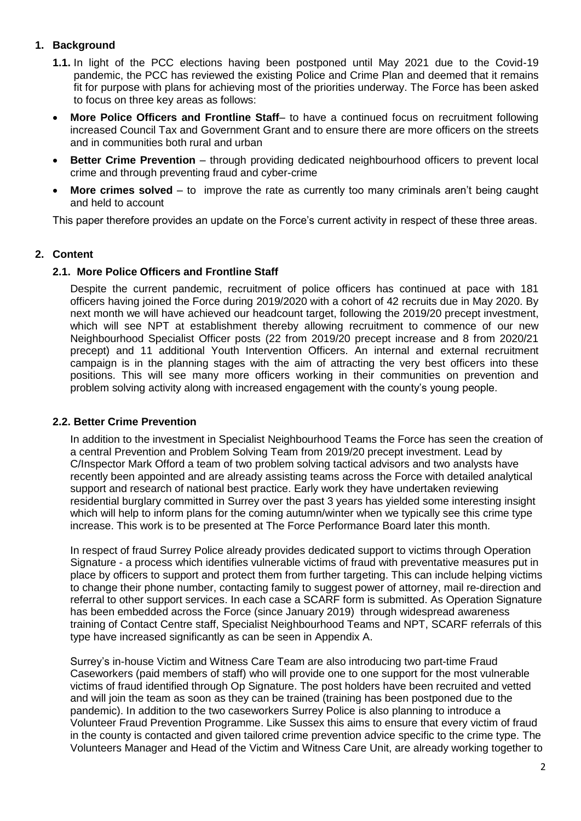### **1. Background**

- **1.1.** In light of the PCC elections having been postponed until May 2021 due to the Covid-19 pandemic, the PCC has reviewed the existing Police and Crime Plan and deemed that it remains fit for purpose with plans for achieving most of the priorities underway. The Force has been asked to focus on three key areas as follows:
- **More Police Officers and Frontline Staff** to have a continued focus on recruitment following increased Council Tax and Government Grant and to ensure there are more officers on the streets and in communities both rural and urban
- **Better Crime Prevention** through providing dedicated neighbourhood officers to prevent local crime and through preventing fraud and cyber-crime
- **More crimes solved** to improve the rate as currently too many criminals aren't being caught and held to account

This paper therefore provides an update on the Force's current activity in respect of these three areas.

### **2. Content**

#### **2.1. More Police Officers and Frontline Staff**

Despite the current pandemic, recruitment of police officers has continued at pace with 181 officers having joined the Force during 2019/2020 with a cohort of 42 recruits due in May 2020. By next month we will have achieved our headcount target, following the 2019/20 precept investment, which will see NPT at establishment thereby allowing recruitment to commence of our new Neighbourhood Specialist Officer posts (22 from 2019/20 precept increase and 8 from 2020/21 precept) and 11 additional Youth Intervention Officers. An internal and external recruitment campaign is in the planning stages with the aim of attracting the very best officers into these positions. This will see many more officers working in their communities on prevention and problem solving activity along with increased engagement with the county's young people.

#### **2.2. Better Crime Prevention**

In addition to the investment in Specialist Neighbourhood Teams the Force has seen the creation of a central Prevention and Problem Solving Team from 2019/20 precept investment. Lead by C/Inspector Mark Offord a team of two problem solving tactical advisors and two analysts have recently been appointed and are already assisting teams across the Force with detailed analytical support and research of national best practice. Early work they have undertaken reviewing residential burglary committed in Surrey over the past 3 years has yielded some interesting insight which will help to inform plans for the coming autumn/winter when we typically see this crime type increase. This work is to be presented at The Force Performance Board later this month.

In respect of fraud Surrey Police already provides dedicated support to victims through Operation Signature - a process which identifies vulnerable victims of fraud with preventative measures put in place by officers to support and protect them from further targeting. This can include helping victims to change their phone number, contacting family to suggest power of attorney, mail re-direction and referral to other support services. In each case a SCARF form is submitted. As Operation Signature has been embedded across the Force (since January 2019) through widespread awareness training of Contact Centre staff, Specialist Neighbourhood Teams and NPT, SCARF referrals of this type have increased significantly as can be seen in Appendix A.

Surrey's in-house Victim and Witness Care Team are also introducing two part-time Fraud Caseworkers (paid members of staff) who will provide one to one support for the most vulnerable victims of fraud identified through Op Signature. The post holders have been recruited and vetted and will join the team as soon as they can be trained (training has been postponed due to the pandemic). In addition to the two caseworkers Surrey Police is also planning to introduce a Volunteer Fraud Prevention Programme. Like Sussex this aims to ensure that every victim of fraud in the county is contacted and given tailored crime prevention advice specific to the crime type. The Volunteers Manager and Head of the Victim and Witness Care Unit, are already working together to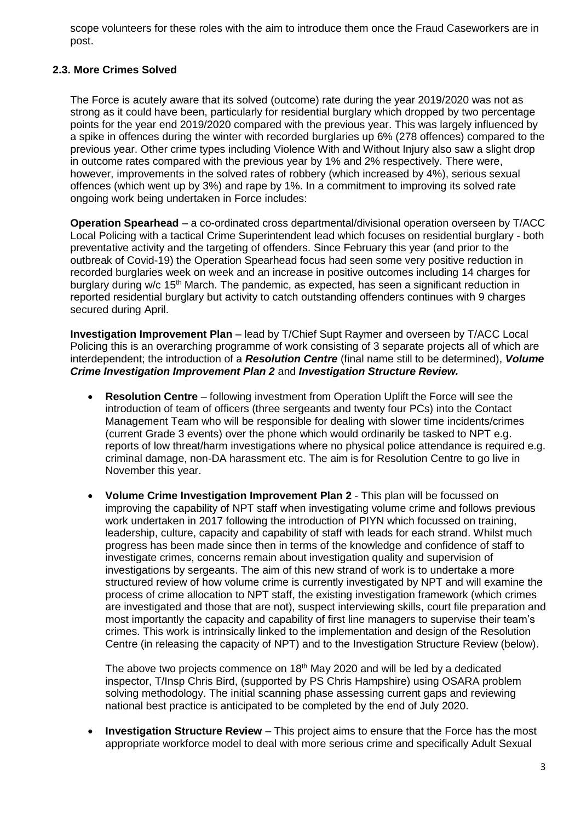scope volunteers for these roles with the aim to introduce them once the Fraud Caseworkers are in post.

#### **2.3. More Crimes Solved**

The Force is acutely aware that its solved (outcome) rate during the year 2019/2020 was not as strong as it could have been, particularly for residential burglary which dropped by two percentage points for the year end 2019/2020 compared with the previous year. This was largely influenced by a spike in offences during the winter with recorded burglaries up 6% (278 offences) compared to the previous year. Other crime types including Violence With and Without Injury also saw a slight drop in outcome rates compared with the previous year by 1% and 2% respectively. There were, however, improvements in the solved rates of robbery (which increased by 4%), serious sexual offences (which went up by 3%) and rape by 1%. In a commitment to improving its solved rate ongoing work being undertaken in Force includes:

**Operation Spearhead** – a co-ordinated cross departmental/divisional operation overseen by T/ACC Local Policing with a tactical Crime Superintendent lead which focuses on residential burglary - both preventative activity and the targeting of offenders. Since February this year (and prior to the outbreak of Covid-19) the Operation Spearhead focus had seen some very positive reduction in recorded burglaries week on week and an increase in positive outcomes including 14 charges for burglary during w/c  $15<sup>th</sup>$  March. The pandemic, as expected, has seen a significant reduction in reported residential burglary but activity to catch outstanding offenders continues with 9 charges secured during April.

**Investigation Improvement Plan** – lead by T/Chief Supt Raymer and overseen by T/ACC Local Policing this is an overarching programme of work consisting of 3 separate projects all of which are interdependent; the introduction of a *Resolution Centre* (final name still to be determined), *Volume Crime Investigation Improvement Plan 2* and *Investigation Structure Review.*

- **Resolution Centre** following investment from Operation Uplift the Force will see the introduction of team of officers (three sergeants and twenty four PCs) into the Contact Management Team who will be responsible for dealing with slower time incidents/crimes (current Grade 3 events) over the phone which would ordinarily be tasked to NPT e.g. reports of low threat/harm investigations where no physical police attendance is required e.g. criminal damage, non-DA harassment etc. The aim is for Resolution Centre to go live in November this year.
- **Volume Crime Investigation Improvement Plan 2** This plan will be focussed on improving the capability of NPT staff when investigating volume crime and follows previous work undertaken in 2017 following the introduction of PIYN which focussed on training, leadership, culture, capacity and capability of staff with leads for each strand. Whilst much progress has been made since then in terms of the knowledge and confidence of staff to investigate crimes, concerns remain about investigation quality and supervision of investigations by sergeants. The aim of this new strand of work is to undertake a more structured review of how volume crime is currently investigated by NPT and will examine the process of crime allocation to NPT staff, the existing investigation framework (which crimes are investigated and those that are not), suspect interviewing skills, court file preparation and most importantly the capacity and capability of first line managers to supervise their team's crimes. This work is intrinsically linked to the implementation and design of the Resolution Centre (in releasing the capacity of NPT) and to the Investigation Structure Review (below).

The above two projects commence on 18<sup>th</sup> May 2020 and will be led by a dedicated inspector, T/Insp Chris Bird, (supported by PS Chris Hampshire) using OSARA problem solving methodology. The initial scanning phase assessing current gaps and reviewing national best practice is anticipated to be completed by the end of July 2020.

 **Investigation Structure Review** – This project aims to ensure that the Force has the most appropriate workforce model to deal with more serious crime and specifically Adult Sexual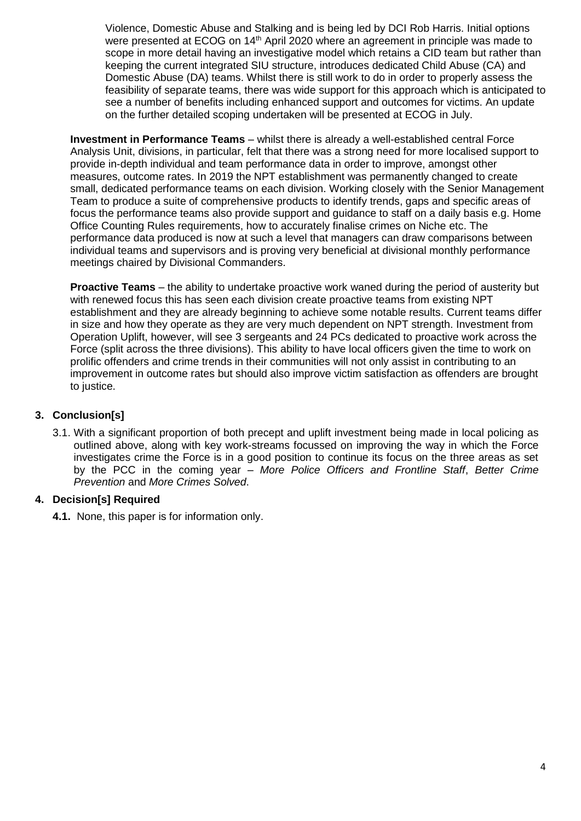Violence, Domestic Abuse and Stalking and is being led by DCI Rob Harris. Initial options were presented at ECOG on 14<sup>th</sup> April 2020 where an agreement in principle was made to scope in more detail having an investigative model which retains a CID team but rather than keeping the current integrated SIU structure, introduces dedicated Child Abuse (CA) and Domestic Abuse (DA) teams. Whilst there is still work to do in order to properly assess the feasibility of separate teams, there was wide support for this approach which is anticipated to see a number of benefits including enhanced support and outcomes for victims. An update on the further detailed scoping undertaken will be presented at ECOG in July.

**Investment in Performance Teams** – whilst there is already a well-established central Force Analysis Unit, divisions, in particular, felt that there was a strong need for more localised support to provide in-depth individual and team performance data in order to improve, amongst other measures, outcome rates. In 2019 the NPT establishment was permanently changed to create small, dedicated performance teams on each division. Working closely with the Senior Management Team to produce a suite of comprehensive products to identify trends, gaps and specific areas of focus the performance teams also provide support and guidance to staff on a daily basis e.g. Home Office Counting Rules requirements, how to accurately finalise crimes on Niche etc. The performance data produced is now at such a level that managers can draw comparisons between individual teams and supervisors and is proving very beneficial at divisional monthly performance meetings chaired by Divisional Commanders.

**Proactive Teams** – the ability to undertake proactive work waned during the period of austerity but with renewed focus this has seen each division create proactive teams from existing NPT establishment and they are already beginning to achieve some notable results. Current teams differ in size and how they operate as they are very much dependent on NPT strength. Investment from Operation Uplift, however, will see 3 sergeants and 24 PCs dedicated to proactive work across the Force (split across the three divisions). This ability to have local officers given the time to work on prolific offenders and crime trends in their communities will not only assist in contributing to an improvement in outcome rates but should also improve victim satisfaction as offenders are brought to justice.

## **3. Conclusion[s]**

3.1. With a significant proportion of both precept and uplift investment being made in local policing as outlined above, along with key work-streams focussed on improving the way in which the Force investigates crime the Force is in a good position to continue its focus on the three areas as set by the PCC in the coming year – *More Police Officers and Frontline Staff*, *Better Crime Prevention* and *More Crimes Solved*.

## **4. Decision[s] Required**

**4.1.** None, this paper is for information only.